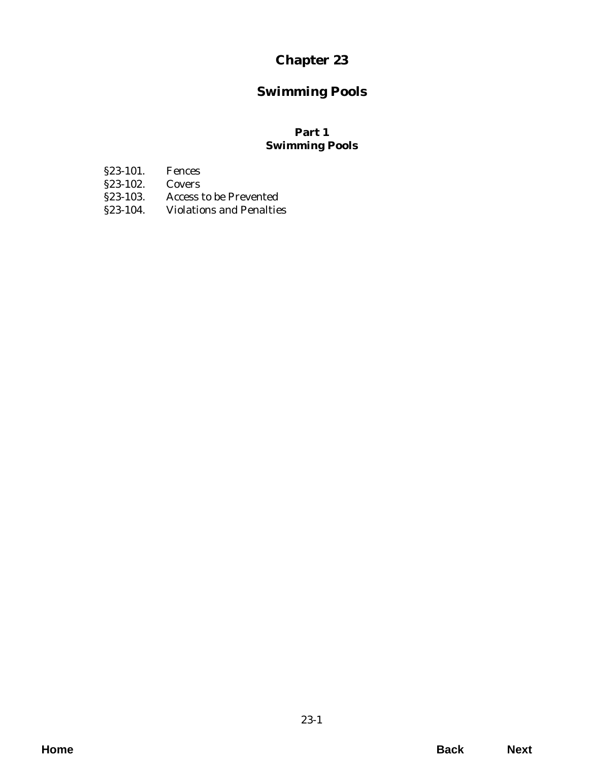# **Chapter 23**

## **Swimming Pools**

## **Part 1 Swimming Pools**

- §23-101. Fences
- 
- §23-102. Covers<br>§23-103. Access Access to be Prevented
- [§23-104. Violations and Penalties](#page-2-0)